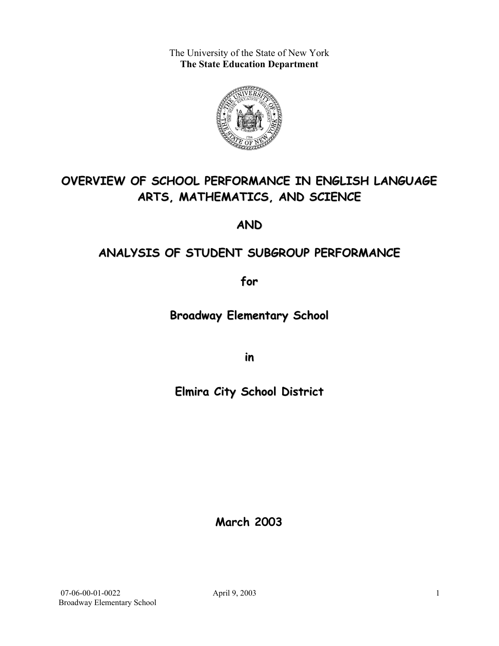The University of the State of New York **The State Education Department** 



# **OVERVIEW OF SCHOOL PERFORMANCE IN ENGLISH LANGUAGE ARTS, MATHEMATICS, AND SCIENCE**

**AND**

# **ANALYSIS OF STUDENT SUBGROUP PERFORMANCE**

**for**

**Broadway Elementary School**

**in**

**Elmira City School District**

**March 2003**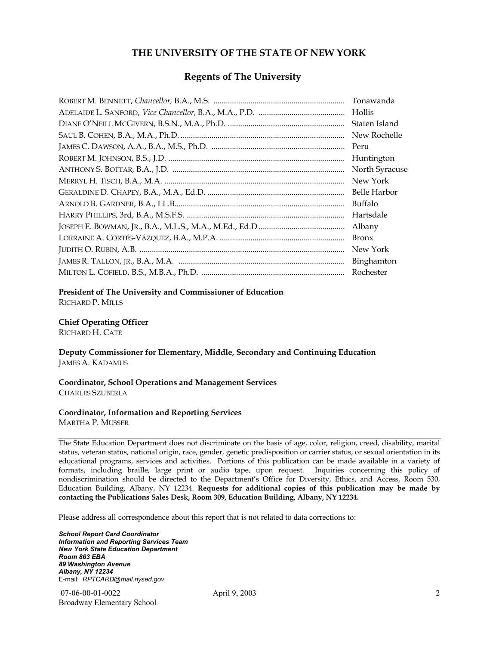#### **THE UNIVERSITY OF THE STATE OF NEW YORK**

#### **Regents of The University**

| Tonawanda      |
|----------------|
| Hollis         |
| Staten Island  |
| New Rochelle   |
| Peru           |
| Huntington     |
| North Syracuse |
| New York       |
| Belle Harbor   |
| Buffalo        |
| Hartsdale      |
| Albany         |
| <b>Bronx</b>   |
| New York       |
| Binghamton     |
| Rochester      |

#### **President of The University and Commissioner of Education**

RICHARD P. MILLS

#### **Chief Operating Officer**

RICHARD H. CATE

**Deputy Commissioner for Elementary, Middle, Secondary and Continuing Education**  JAMES A. KADAMUS

#### **Coordinator, School Operations and Management Services**  CHARLES SZUBERLA

#### **Coordinator, Information and Reporting Services**

MARTHA P. MUSSER

The State Education Department does not discriminate on the basis of age, color, religion, creed, disability, marital status, veteran status, national origin, race, gender, genetic predisposition or carrier status, or sexual orientation in its educational programs, services and activities. Portions of this publication can be made available in a variety of formats, including braille, large print or audio tape, upon request. Inquiries concerning this policy of nondiscrimination should be directed to the Department's Office for Diversity, Ethics, and Access, Room 530, Education Building, Albany, NY 12234. **Requests for additional copies of this publication may be made by contacting the Publications Sales Desk, Room 309, Education Building, Albany, NY 12234.** 

Please address all correspondence about this report that is not related to data corrections to:

*School Report Card Coordinator Information and Reporting Services Team New York State Education Department Room 863 EBA 89 Washington Avenue Albany, NY 12234*  E-mail: *RPTCARD@mail.nysed.gov*

 07-06-00-01-0022 April 9, 2003 Broadway Elementary School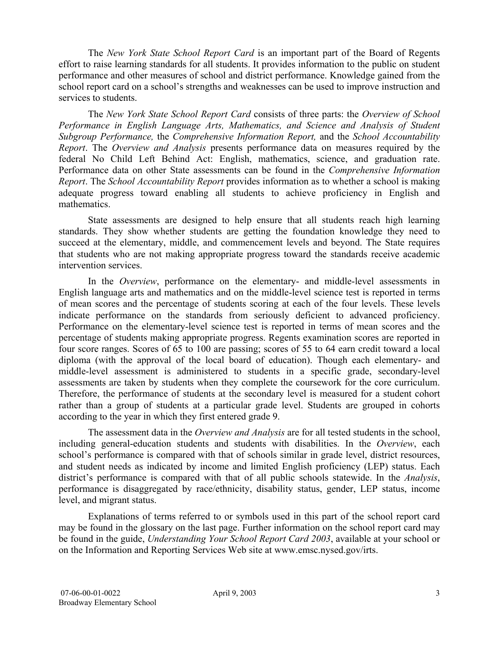The *New York State School Report Card* is an important part of the Board of Regents effort to raise learning standards for all students. It provides information to the public on student performance and other measures of school and district performance. Knowledge gained from the school report card on a school's strengths and weaknesses can be used to improve instruction and services to students.

The *New York State School Report Card* consists of three parts: the *Overview of School Performance in English Language Arts, Mathematics, and Science and Analysis of Student Subgroup Performance,* the *Comprehensive Information Report,* and the *School Accountability Report*. The *Overview and Analysis* presents performance data on measures required by the federal No Child Left Behind Act: English, mathematics, science, and graduation rate. Performance data on other State assessments can be found in the *Comprehensive Information Report*. The *School Accountability Report* provides information as to whether a school is making adequate progress toward enabling all students to achieve proficiency in English and mathematics.

State assessments are designed to help ensure that all students reach high learning standards. They show whether students are getting the foundation knowledge they need to succeed at the elementary, middle, and commencement levels and beyond. The State requires that students who are not making appropriate progress toward the standards receive academic intervention services.

In the *Overview*, performance on the elementary- and middle-level assessments in English language arts and mathematics and on the middle-level science test is reported in terms of mean scores and the percentage of students scoring at each of the four levels. These levels indicate performance on the standards from seriously deficient to advanced proficiency. Performance on the elementary-level science test is reported in terms of mean scores and the percentage of students making appropriate progress. Regents examination scores are reported in four score ranges. Scores of 65 to 100 are passing; scores of 55 to 64 earn credit toward a local diploma (with the approval of the local board of education). Though each elementary- and middle-level assessment is administered to students in a specific grade, secondary-level assessments are taken by students when they complete the coursework for the core curriculum. Therefore, the performance of students at the secondary level is measured for a student cohort rather than a group of students at a particular grade level. Students are grouped in cohorts according to the year in which they first entered grade 9.

The assessment data in the *Overview and Analysis* are for all tested students in the school, including general-education students and students with disabilities. In the *Overview*, each school's performance is compared with that of schools similar in grade level, district resources, and student needs as indicated by income and limited English proficiency (LEP) status. Each district's performance is compared with that of all public schools statewide. In the *Analysis*, performance is disaggregated by race/ethnicity, disability status, gender, LEP status, income level, and migrant status.

Explanations of terms referred to or symbols used in this part of the school report card may be found in the glossary on the last page. Further information on the school report card may be found in the guide, *Understanding Your School Report Card 2003*, available at your school or on the Information and Reporting Services Web site at www.emsc.nysed.gov/irts.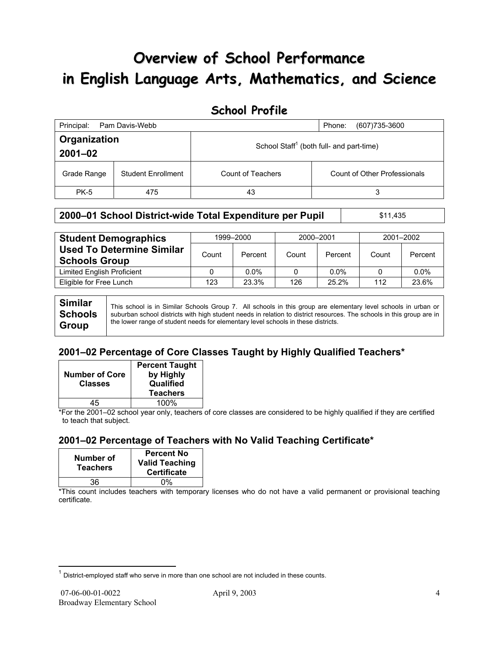# **Overview of School Performance in English Language Arts, Mathematics, and Science**

## **School Profile**

| Principal:                                                                          | Pam Davis-Webb            |                   | (607) 735-3600<br>Phone:            |
|-------------------------------------------------------------------------------------|---------------------------|-------------------|-------------------------------------|
| Organization<br>School Staff <sup>1</sup> (both full- and part-time)<br>$2001 - 02$ |                           |                   |                                     |
| Grade Range                                                                         | <b>Student Enrollment</b> | Count of Teachers | <b>Count of Other Professionals</b> |
| <b>PK-5</b>                                                                         | 475                       | 43                | 3                                   |

#### **2000–01 School District-wide Total Expenditure per Pupil | \$11,435**

| <b>Student Demographics</b>                              | 1999-2000 |         | 2000-2001 |         | 2001-2002 |         |
|----------------------------------------------------------|-----------|---------|-----------|---------|-----------|---------|
| <b>Used To Determine Similar</b><br><b>Schools Group</b> | Count     | Percent | Count     | Percent | Count     | Percent |
| Limited English Proficient                               |           | $0.0\%$ | 0         | $0.0\%$ |           | $0.0\%$ |
| Eligible for Free Lunch                                  | 123       | 23.3%   | 126       | 25.2%   | 112       | 23.6%   |
|                                                          |           |         |           |         |           |         |

| <b>Similar</b> | This school is in Similar Schools Group 7. All schools in this group are elementary level schools in urban or         |
|----------------|-----------------------------------------------------------------------------------------------------------------------|
| <b>Schools</b> | suburban school districts with high student needs in relation to district resources. The schools in this group are in |
| Group          | the lower range of student needs for elementary level schools in these districts.                                     |

## **2001–02 Percentage of Core Classes Taught by Highly Qualified Teachers\***

| <b>Number of Core</b><br><b>Classes</b> | <b>Percent Taught</b><br>by Highly<br>Qualified<br><b>Teachers</b> |
|-----------------------------------------|--------------------------------------------------------------------|
| 15                                      | 100%                                                               |

\*For the 2001–02 school year only, teachers of core classes are considered to be highly qualified if they are certified to teach that subject.

## **2001–02 Percentage of Teachers with No Valid Teaching Certificate\***

| Number of<br><b>Teachers</b> | <b>Percent No</b><br><b>Valid Teaching</b><br><b>Certificate</b> |
|------------------------------|------------------------------------------------------------------|
| 36                           | በ%                                                               |

\*This count includes teachers with temporary licenses who do not have a valid permanent or provisional teaching certificate.

 $\overline{a}$  $1$  District-employed staff who serve in more than one school are not included in these counts.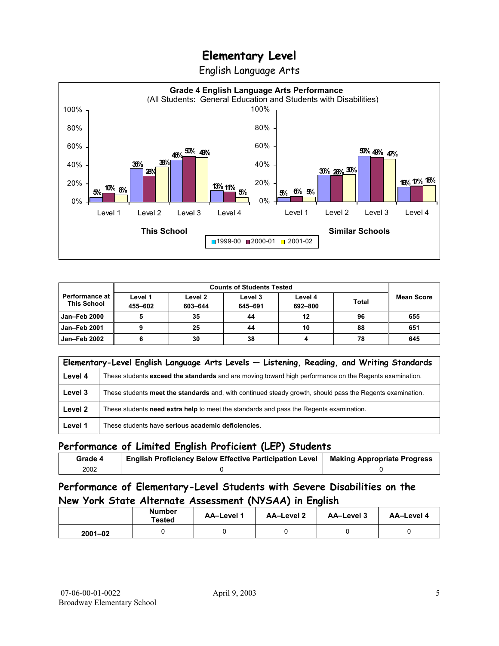English Language Arts



|                                             |                    | <b>Counts of Students Tested</b> |                    |                    |              |            |
|---------------------------------------------|--------------------|----------------------------------|--------------------|--------------------|--------------|------------|
| <b>Performance at</b><br><b>This School</b> | Level 1<br>455-602 | Level 2<br>603-644               | Level 3<br>645-691 | Level 4<br>692-800 | <b>Total</b> | Mean Score |
| Jan-Feb 2000                                |                    | 35                               | 44                 | 12                 | 96           | 655        |
| Jan-Feb 2001                                |                    | 25                               | 44                 | 10                 | 88           | 651        |
| Jan-Feb 2002                                |                    | 30                               | 38                 | 4                  | 78           | 645        |

|         | Elementary-Level English Language Arts Levels - Listening, Reading, and Writing Standards                 |
|---------|-----------------------------------------------------------------------------------------------------------|
| Level 4 | These students exceed the standards and are moving toward high performance on the Regents examination.    |
| Level 3 | These students meet the standards and, with continued steady growth, should pass the Regents examination. |
| Level 2 | These students need extra help to meet the standards and pass the Regents examination.                    |
| Level 1 | These students have serious academic deficiencies.                                                        |

#### **Performance of Limited English Proficient (LEP) Students**

| Grade 4 | <b>English Proficiency Below Effective Participation Level</b> | <b>Making Appropriate Progress</b> |
|---------|----------------------------------------------------------------|------------------------------------|
| 2002    |                                                                |                                    |

### **Performance of Elementary-Level Students with Severe Disabilities on the New York State Alternate Assessment (NYSAA) in English**

|             | <b>Number</b><br>Tested | AA-Level 1 | <b>AA-Level 2</b> | AA-Level 3 | AA-Level 4 |
|-------------|-------------------------|------------|-------------------|------------|------------|
| $2001 - 02$ |                         |            |                   |            |            |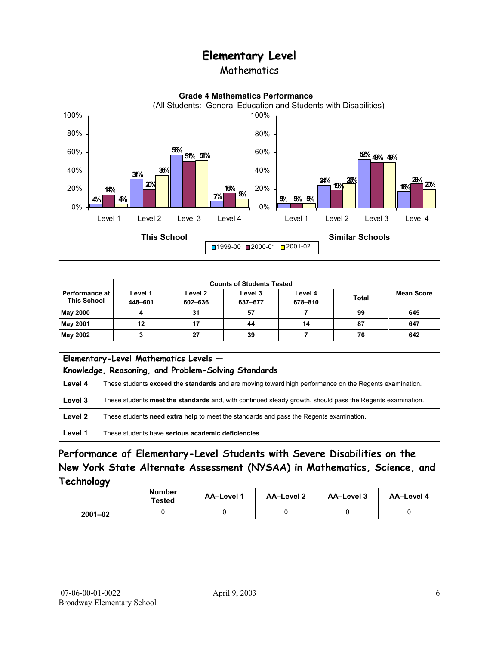### Mathematics



|                                             | <b>Counts of Students Tested</b> |                    |                    |                    |              |            |
|---------------------------------------------|----------------------------------|--------------------|--------------------|--------------------|--------------|------------|
| <b>Performance at</b><br><b>This School</b> | Level 1<br>448-601               | Level 2<br>602-636 | Level 3<br>637-677 | Level 4<br>678-810 | <b>Total</b> | Mean Score |
| <b>May 2000</b>                             |                                  | 31                 | 57                 |                    | 99           | 645        |
| May 2001                                    | 12                               |                    | 44                 | 14                 | 87           | 647        |
| May 2002                                    |                                  | 27                 | 39                 |                    | 76           | 642        |

|         | Elementary-Level Mathematics Levels -<br>Knowledge, Reasoning, and Problem-Solving Standards              |  |  |
|---------|-----------------------------------------------------------------------------------------------------------|--|--|
| Level 4 | These students exceed the standards and are moving toward high performance on the Regents examination.    |  |  |
| Level 3 | These students meet the standards and, with continued steady growth, should pass the Regents examination. |  |  |
| Level 2 | These students need extra help to meet the standards and pass the Regents examination.                    |  |  |
| Level 1 | These students have serious academic deficiencies.                                                        |  |  |

### **Performance of Elementary-Level Students with Severe Disabilities on the New York State Alternate Assessment (NYSAA) in Mathematics, Science, and Technology**

|             | <b>Number</b><br>Tested | <b>AA-Level 1</b> | <b>AA-Level 2</b> | <b>AA-Level 3</b> | <b>AA-Level 4</b> |  |
|-------------|-------------------------|-------------------|-------------------|-------------------|-------------------|--|
| $2001 - 02$ |                         |                   |                   |                   |                   |  |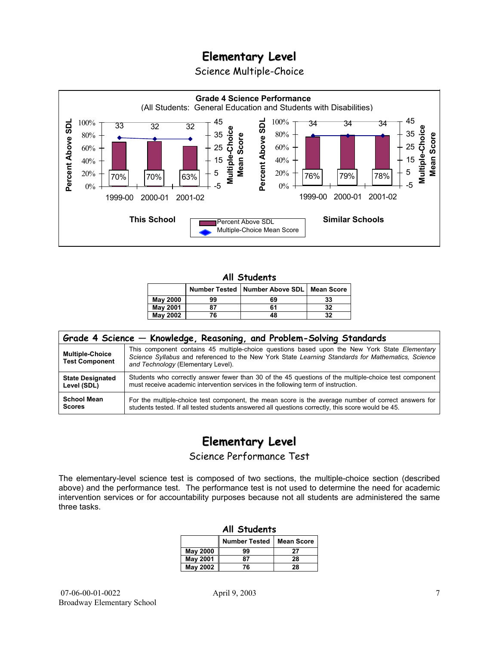Science Multiple-Choice



#### **All Students**

|                 |    | Number Tested   Number Above SDL   Mean Score |    |
|-----------------|----|-----------------------------------------------|----|
| <b>May 2000</b> | 99 | 69                                            | 33 |
| <b>May 2001</b> | 87 | 61                                            | 32 |
| May 2002        | 76 | 48                                            | 32 |

| Grade 4 Science - Knowledge, Reasoning, and Problem-Solving Standards |                                                                                                                                                                                                                                          |  |  |  |  |  |
|-----------------------------------------------------------------------|------------------------------------------------------------------------------------------------------------------------------------------------------------------------------------------------------------------------------------------|--|--|--|--|--|
| <b>Multiple-Choice</b><br><b>Test Component</b>                       | This component contains 45 multiple-choice questions based upon the New York State Elementary<br>Science Syllabus and referenced to the New York State Learning Standards for Mathematics, Science<br>and Technology (Elementary Level). |  |  |  |  |  |
| <b>State Designated</b>                                               | Students who correctly answer fewer than 30 of the 45 questions of the multiple-choice test component                                                                                                                                    |  |  |  |  |  |
| Level (SDL)                                                           | must receive academic intervention services in the following term of instruction.                                                                                                                                                        |  |  |  |  |  |
| <b>School Mean</b>                                                    | For the multiple-choice test component, the mean score is the average number of correct answers for                                                                                                                                      |  |  |  |  |  |
| <b>Scores</b>                                                         | students tested. If all tested students answered all questions correctly, this score would be 45.                                                                                                                                        |  |  |  |  |  |

# **Elementary Level**

Science Performance Test

The elementary-level science test is composed of two sections, the multiple-choice section (described above) and the performance test. The performance test is not used to determine the need for academic intervention services or for accountability purposes because not all students are administered the same three tasks.

| All Students                              |    |    |  |  |  |  |  |  |
|-------------------------------------------|----|----|--|--|--|--|--|--|
| <b>Number Tested</b><br><b>Mean Score</b> |    |    |  |  |  |  |  |  |
| May 2000                                  | 99 | 27 |  |  |  |  |  |  |
| <b>May 2001</b>                           | 87 | 28 |  |  |  |  |  |  |
| May 2002                                  | 76 | 28 |  |  |  |  |  |  |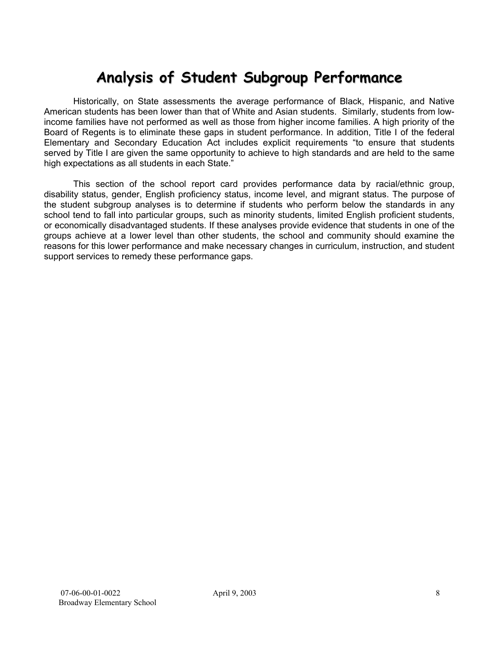# **Analysis of Student Subgroup Performance**

Historically, on State assessments the average performance of Black, Hispanic, and Native American students has been lower than that of White and Asian students. Similarly, students from lowincome families have not performed as well as those from higher income families. A high priority of the Board of Regents is to eliminate these gaps in student performance. In addition, Title I of the federal Elementary and Secondary Education Act includes explicit requirements "to ensure that students served by Title I are given the same opportunity to achieve to high standards and are held to the same high expectations as all students in each State."

This section of the school report card provides performance data by racial/ethnic group, disability status, gender, English proficiency status, income level, and migrant status. The purpose of the student subgroup analyses is to determine if students who perform below the standards in any school tend to fall into particular groups, such as minority students, limited English proficient students, or economically disadvantaged students. If these analyses provide evidence that students in one of the groups achieve at a lower level than other students, the school and community should examine the reasons for this lower performance and make necessary changes in curriculum, instruction, and student support services to remedy these performance gaps.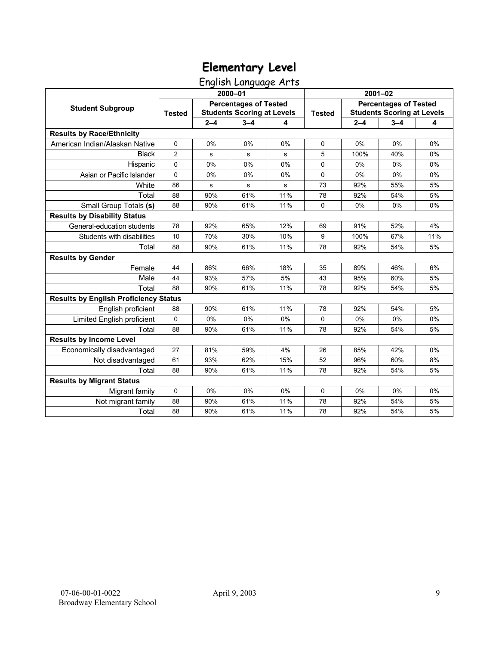English Language Arts

|                                              | 2000-01        |                                                                   |             |     | $2001 - 02$   |                                                                   |         |     |
|----------------------------------------------|----------------|-------------------------------------------------------------------|-------------|-----|---------------|-------------------------------------------------------------------|---------|-----|
| <b>Student Subgroup</b>                      | <b>Tested</b>  | <b>Percentages of Tested</b><br><b>Students Scoring at Levels</b> |             |     | <b>Tested</b> | <b>Percentages of Tested</b><br><b>Students Scoring at Levels</b> |         |     |
|                                              |                | $2 - 4$                                                           | $3 - 4$     | 4   |               | $2 - 4$                                                           | $3 - 4$ | 4   |
| <b>Results by Race/Ethnicity</b>             |                |                                                                   |             |     |               |                                                                   |         |     |
| American Indian/Alaskan Native               | 0              | 0%                                                                | 0%          | 0%  | $\mathbf 0$   | 0%                                                                | 0%      | 0%  |
| <b>Black</b>                                 | $\overline{2}$ | s                                                                 | s           | s   | 5             | 100%                                                              | 40%     | 0%  |
| Hispanic                                     | 0              | 0%                                                                | 0%          | 0%  | $\Omega$      | 0%                                                                | 0%      | 0%  |
| Asian or Pacific Islander                    | 0              | 0%                                                                | 0%          | 0%  | $\mathbf 0$   | 0%                                                                | 0%      | 0%  |
| White                                        | 86             | ${\bf s}$                                                         | $\mathbf s$ | s   | 73            | 92%                                                               | 55%     | 5%  |
| Total                                        | 88             | 90%                                                               | 61%         | 11% | 78            | 92%                                                               | 54%     | 5%  |
| Small Group Totals (s)                       | 88             | 90%                                                               | 61%         | 11% | $\Omega$      | 0%                                                                | 0%      | 0%  |
| <b>Results by Disability Status</b>          |                |                                                                   |             |     |               |                                                                   |         |     |
| General-education students                   | 78             | 92%                                                               | 65%         | 12% | 69            | 91%                                                               | 52%     | 4%  |
| Students with disabilities                   | 10             | 70%                                                               | 30%         | 10% | 9             | 100%                                                              | 67%     | 11% |
| Total                                        | 88             | 90%                                                               | 61%         | 11% | 78            | 92%                                                               | 54%     | 5%  |
| <b>Results by Gender</b>                     |                |                                                                   |             |     |               |                                                                   |         |     |
| Female                                       | 44             | 86%                                                               | 66%         | 18% | 35            | 89%                                                               | 46%     | 6%  |
| Male                                         | 44             | 93%                                                               | 57%         | 5%  | 43            | 95%                                                               | 60%     | 5%  |
| Total                                        | 88             | 90%                                                               | 61%         | 11% | 78            | 92%                                                               | 54%     | 5%  |
| <b>Results by English Proficiency Status</b> |                |                                                                   |             |     |               |                                                                   |         |     |
| English proficient                           | 88             | 90%                                                               | 61%         | 11% | 78            | 92%                                                               | 54%     | 5%  |
| Limited English proficient                   | 0              | 0%                                                                | 0%          | 0%  | $\mathbf 0$   | 0%                                                                | 0%      | 0%  |
| Total                                        | 88             | 90%                                                               | 61%         | 11% | 78            | 92%                                                               | 54%     | 5%  |
| <b>Results by Income Level</b>               |                |                                                                   |             |     |               |                                                                   |         |     |
| Economically disadvantaged                   | 27             | 81%                                                               | 59%         | 4%  | 26            | 85%                                                               | 42%     | 0%  |
| Not disadvantaged                            | 61             | 93%                                                               | 62%         | 15% | 52            | 96%                                                               | 60%     | 8%  |
| Total                                        | 88             | 90%                                                               | 61%         | 11% | 78            | 92%                                                               | 54%     | 5%  |
| <b>Results by Migrant Status</b>             |                |                                                                   |             |     |               |                                                                   |         |     |
| Migrant family                               | 0              | 0%                                                                | 0%          | 0%  | $\mathbf 0$   | 0%                                                                | 0%      | 0%  |
| Not migrant family                           | 88             | 90%                                                               | 61%         | 11% | 78            | 92%                                                               | 54%     | 5%  |
| Total                                        | 88             | 90%                                                               | 61%         | 11% | 78            | 92%                                                               | 54%     | 5%  |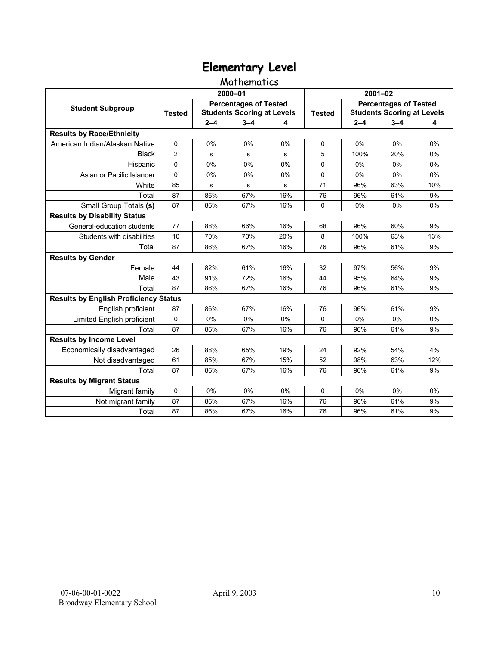#### Mathematics

|                                              | 2000-01                                                                            |         |             |               | $2001 - 02$                                                       |         |         |     |
|----------------------------------------------|------------------------------------------------------------------------------------|---------|-------------|---------------|-------------------------------------------------------------------|---------|---------|-----|
| <b>Student Subgroup</b>                      | <b>Percentages of Tested</b><br><b>Students Scoring at Levels</b><br><b>Tested</b> |         |             | <b>Tested</b> | <b>Percentages of Tested</b><br><b>Students Scoring at Levels</b> |         |         |     |
|                                              |                                                                                    | $2 - 4$ | $3 - 4$     | 4             |                                                                   | $2 - 4$ | $3 - 4$ | 4   |
| <b>Results by Race/Ethnicity</b>             |                                                                                    |         |             |               |                                                                   |         |         |     |
| American Indian/Alaskan Native               | $\Omega$                                                                           | 0%      | 0%          | 0%            | $\Omega$                                                          | 0%      | 0%      | 0%  |
| <b>Black</b>                                 | 2                                                                                  | s       | s           | s             | 5                                                                 | 100%    | 20%     | 0%  |
| Hispanic                                     | $\Omega$                                                                           | 0%      | 0%          | 0%            | 0                                                                 | 0%      | 0%      | 0%  |
| Asian or Pacific Islander                    | 0                                                                                  | 0%      | 0%          | 0%            | 0                                                                 | 0%      | 0%      | 0%  |
| White                                        | 85                                                                                 | s       | $\mathbf s$ | s             | 71                                                                | 96%     | 63%     | 10% |
| Total                                        | 87                                                                                 | 86%     | 67%         | 16%           | 76                                                                | 96%     | 61%     | 9%  |
| Small Group Totals (s)                       | 87                                                                                 | 86%     | 67%         | 16%           | $\Omega$                                                          | 0%      | 0%      | 0%  |
| <b>Results by Disability Status</b>          |                                                                                    |         |             |               |                                                                   |         |         |     |
| General-education students                   | 77                                                                                 | 88%     | 66%         | 16%           | 68                                                                | 96%     | 60%     | 9%  |
| Students with disabilities                   | 10                                                                                 | 70%     | 70%         | 20%           | 8                                                                 | 100%    | 63%     | 13% |
| Total                                        | 87                                                                                 | 86%     | 67%         | 16%           | 76                                                                | 96%     | 61%     | 9%  |
| <b>Results by Gender</b>                     |                                                                                    |         |             |               |                                                                   |         |         |     |
| Female                                       | 44                                                                                 | 82%     | 61%         | 16%           | 32                                                                | 97%     | 56%     | 9%  |
| Male                                         | 43                                                                                 | 91%     | 72%         | 16%           | 44                                                                | 95%     | 64%     | 9%  |
| Total                                        | 87                                                                                 | 86%     | 67%         | 16%           | 76                                                                | 96%     | 61%     | 9%  |
| <b>Results by English Proficiency Status</b> |                                                                                    |         |             |               |                                                                   |         |         |     |
| English proficient                           | 87                                                                                 | 86%     | 67%         | 16%           | 76                                                                | 96%     | 61%     | 9%  |
| Limited English proficient                   | 0                                                                                  | 0%      | 0%          | 0%            | $\Omega$                                                          | 0%      | 0%      | 0%  |
| Total                                        | 87                                                                                 | 86%     | 67%         | 16%           | 76                                                                | 96%     | 61%     | 9%  |
| <b>Results by Income Level</b>               |                                                                                    |         |             |               |                                                                   |         |         |     |
| Economically disadvantaged                   | 26                                                                                 | 88%     | 65%         | 19%           | 24                                                                | 92%     | 54%     | 4%  |
| Not disadvantaged                            | 61                                                                                 | 85%     | 67%         | 15%           | 52                                                                | 98%     | 63%     | 12% |
| Total                                        | 87                                                                                 | 86%     | 67%         | 16%           | 76                                                                | 96%     | 61%     | 9%  |
| <b>Results by Migrant Status</b>             |                                                                                    |         |             |               |                                                                   |         |         |     |
| Migrant family                               | 0                                                                                  | 0%      | 0%          | $0\%$         | $\Omega$                                                          | $0\%$   | 0%      | 0%  |
| Not migrant family                           | 87                                                                                 | 86%     | 67%         | 16%           | 76                                                                | 96%     | 61%     | 9%  |
| Total                                        | 87                                                                                 | 86%     | 67%         | 16%           | 76                                                                | 96%     | 61%     | 9%  |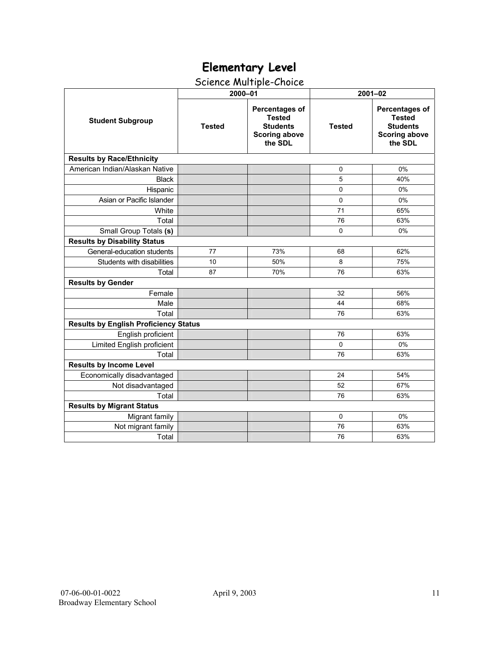### Science Multiple-Choice

|                                              | 2000-01       |                                                                                       | $2001 - 02$   |                                                                                              |  |  |  |
|----------------------------------------------|---------------|---------------------------------------------------------------------------------------|---------------|----------------------------------------------------------------------------------------------|--|--|--|
| <b>Student Subgroup</b>                      | <b>Tested</b> | Percentages of<br><b>Tested</b><br><b>Students</b><br><b>Scoring above</b><br>the SDL | <b>Tested</b> | <b>Percentages of</b><br><b>Tested</b><br><b>Students</b><br><b>Scoring above</b><br>the SDL |  |  |  |
| <b>Results by Race/Ethnicity</b>             |               |                                                                                       |               |                                                                                              |  |  |  |
| American Indian/Alaskan Native               |               |                                                                                       | 0             | 0%                                                                                           |  |  |  |
| <b>Black</b>                                 |               |                                                                                       | 5             | 40%                                                                                          |  |  |  |
| Hispanic                                     |               |                                                                                       | 0             | 0%                                                                                           |  |  |  |
| Asian or Pacific Islander                    |               |                                                                                       | 0             | 0%                                                                                           |  |  |  |
| White                                        |               |                                                                                       | 71            | 65%                                                                                          |  |  |  |
| Total                                        |               |                                                                                       | 76            | 63%                                                                                          |  |  |  |
| Small Group Totals (s)                       |               |                                                                                       | 0             | 0%                                                                                           |  |  |  |
| <b>Results by Disability Status</b>          |               |                                                                                       |               |                                                                                              |  |  |  |
| General-education students                   | 77            | 73%                                                                                   | 68            | 62%                                                                                          |  |  |  |
| Students with disabilities                   | 10            | 50%                                                                                   | 8             | 75%                                                                                          |  |  |  |
| Total                                        | 87            | 70%                                                                                   | 76            | 63%                                                                                          |  |  |  |
| <b>Results by Gender</b>                     |               |                                                                                       |               |                                                                                              |  |  |  |
| Female                                       |               |                                                                                       | 32            | 56%                                                                                          |  |  |  |
| Male                                         |               |                                                                                       | 44            | 68%                                                                                          |  |  |  |
| Total                                        |               |                                                                                       | 76            | 63%                                                                                          |  |  |  |
| <b>Results by English Proficiency Status</b> |               |                                                                                       |               |                                                                                              |  |  |  |
| English proficient                           |               |                                                                                       | 76            | 63%                                                                                          |  |  |  |
| Limited English proficient                   |               |                                                                                       | $\Omega$      | 0%                                                                                           |  |  |  |
| Total                                        |               |                                                                                       | 76            | 63%                                                                                          |  |  |  |
| <b>Results by Income Level</b>               |               |                                                                                       |               |                                                                                              |  |  |  |
| Economically disadvantaged                   |               |                                                                                       | 24            | 54%                                                                                          |  |  |  |
| Not disadvantaged                            |               |                                                                                       | 52            | 67%                                                                                          |  |  |  |
| Total                                        |               |                                                                                       | 76            | 63%                                                                                          |  |  |  |
| <b>Results by Migrant Status</b>             |               |                                                                                       |               |                                                                                              |  |  |  |
| Migrant family                               |               |                                                                                       | $\mathbf 0$   | 0%                                                                                           |  |  |  |
| Not migrant family                           |               |                                                                                       | 76            | 63%                                                                                          |  |  |  |
| Total                                        |               |                                                                                       | 76            | 63%                                                                                          |  |  |  |